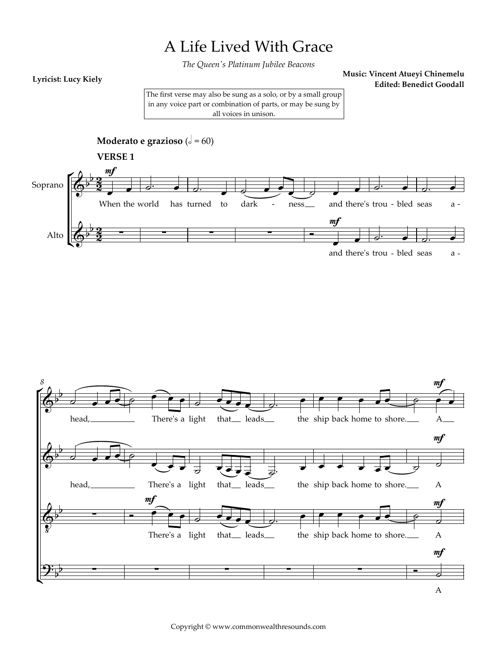## A Life Lived With Grace

*The Queen's Platinum Jubilee Beacons*

## **Lyricist: Lucy Kiely**

**Music: Vincent Atueyi Chinemelu Edited: Benedict Goodall**

The first verse may also be sung as a solo, or by a small group in any voice part or combination of parts, or may be sung by all voices in unison.

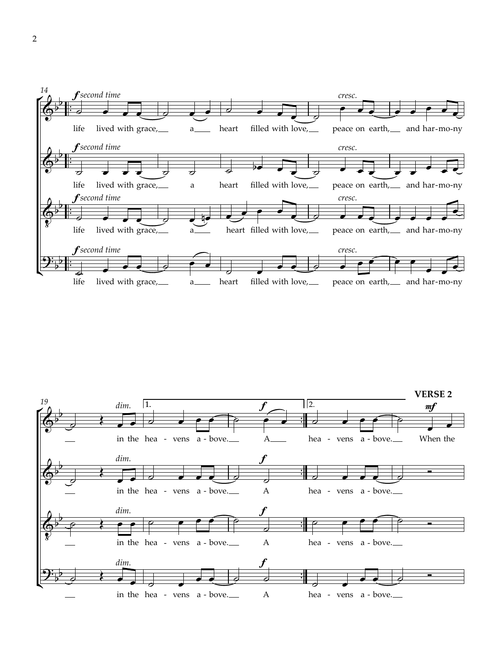

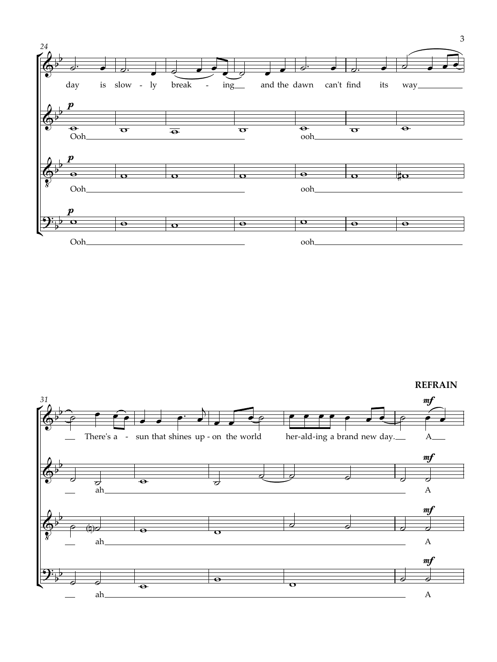



3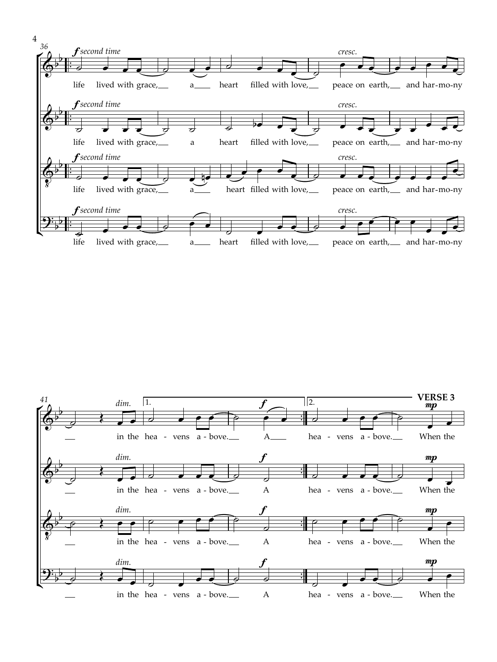

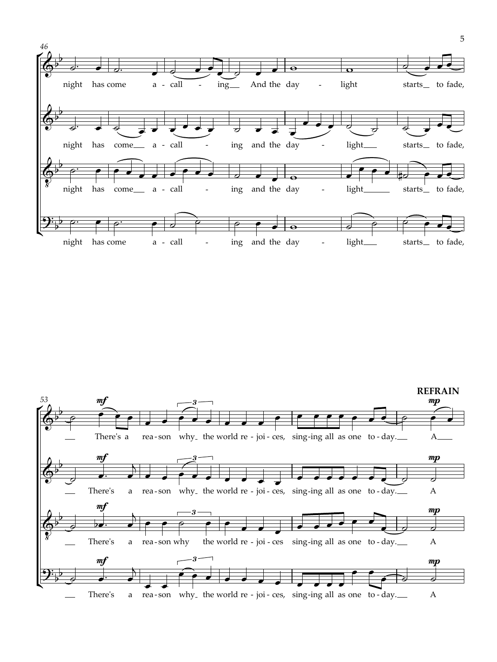

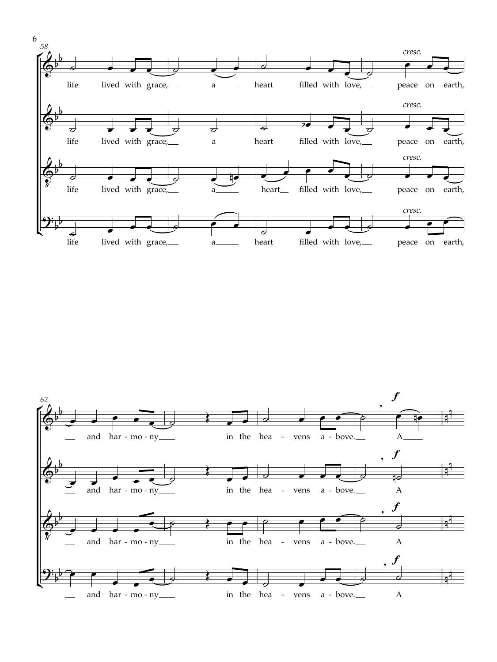